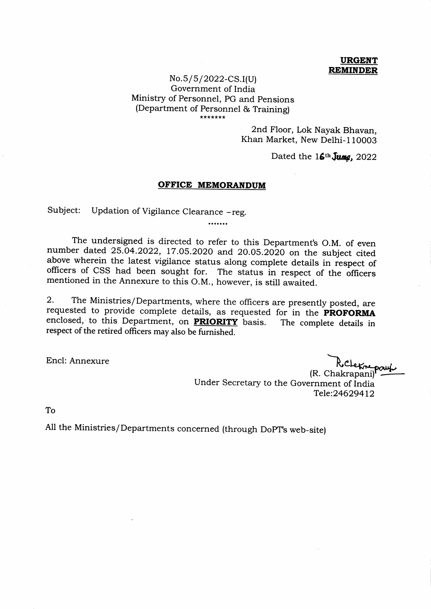## URGENT **REMINDER**

## No.5 /5 /2022-CS.I(U) Government of India Ministry of Personnel, PG and pensions (Department of Personnel & Training)

2nd Floor, Lok Nayak Bhavan, Khan Market, New Delhi-l10003

Dated the  $16<sup>th</sup>$  June, 2022

## OFFICE MEMORANDUM

 $\cdots$ 

Subject: Updation of Vigilance Clearance -reg.

The undersigned is directed to refer to this Department's O.M. of even number dated 25.04.2022, 17.05.2020 and 20.05.2020 on the subject cited above wherein the latest vigilance status along complete details in respect of officers of CSS had been sought for. The status in respect of the officers mentioned in the Annexure to this O.M., however, is still awaited.

2. The Ministries/Departments, where the officers are presently posted, are requested to provide complete details, as requested for in the **PROFORMA** enclosed, to this Department, on **PRIORITY** basis. The complete details in respect of the retired officers may also be furnished.

Encl: Annexure

(R. Chakrapani) Under Secretary to the Government of India TeIe:246294L2 Rocheknepau

To

All the Ministries/Departments concerned (through DopT"s web-site)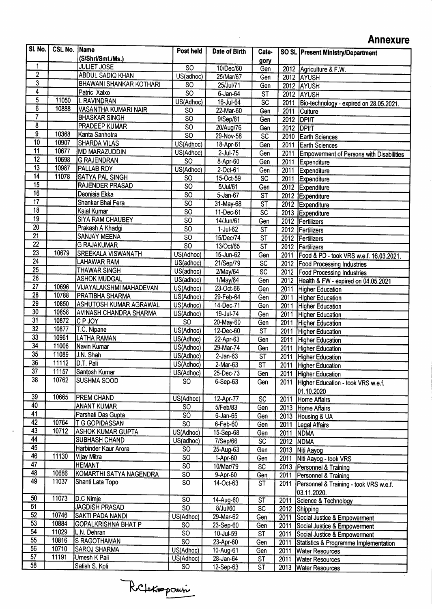## **Annexure**

| SI. No.                 | <b>CSL No.  Name</b> |                                | Post held              | Date of Birth  | Cate-                    |           | <b>SO SL Present Ministry/Department</b>         |
|-------------------------|----------------------|--------------------------------|------------------------|----------------|--------------------------|-----------|--------------------------------------------------|
|                         |                      | (S/Shri/Smt./Ms.)              |                        |                | gory                     |           |                                                  |
| 1                       |                      | <b>JULIET JOSE</b>             | $\overline{SO}$        | 10/Dec/60      | Gen                      |           | 2012 Agriculture & F.W.                          |
| $\overline{2}$          |                      | <b>ABDUL SADIQ KHAN</b>        | US(adhoc)              | 25/Mar/67      | Gen                      |           | 2012 AYUSH                                       |
| $\overline{3}$          |                      | <b>BHAWANI SHANKAR KOTHARI</b> | <b>SO</b>              | 25/Jul/71      | Gen                      |           | 2012 AYUSH                                       |
| 4                       |                      | Patric Xalxo                   | $\overline{SO}$        | 6-Jan-64       | ST                       |           | 2012 AYUSH                                       |
| $\overline{\mathbf{5}}$ | 11050                | II. RAVINDRAN                  | US(Adhoc)              | 16-Jul-64      | $\overline{SC}$          | 2011      | Bio-technology - expired on 28.05.2021.          |
| $\overline{6}$          | 10888                | <b>VASANTHA KUMARI NAIR</b>    | SO                     | 22-Mar-60      | $\overline{Gen}$         | 2011      | Culture                                          |
| $\overline{7}$          |                      | <b>BHASKAR SINGH</b>           | $\overline{SO}$        | 9/Sep/81       | Gen                      |           | <b>2012 DPIIT</b>                                |
| 8                       |                      | <b>PRADEEP KUMAR</b>           | $\overline{SO}$        | 20/Aug/76      | Gen                      | 2012      | <b>DPIIT</b>                                     |
| 9                       | 10368                | Kanta Sanhotra                 | $\overline{\text{SO}}$ | 29-Nov-58      | SC                       | 2010      | <b>Earth Sciences</b>                            |
| $\overline{10}$         | 10907                | <b>SHARDA VILAS</b>            | US(Adhoc)              | 18-Apr-61      | Gen                      | 2011      | <b>Earth Sciences</b>                            |
| $\overline{11}$         | 10677                | MD MARAZUDDIN                  | US(Adhoc)              | 2-Jul-75       | Gen                      | 2011      | <b>Empowerment of Persons with Disabilities</b>  |
| $\overline{12}$         | 10698                | <b>G RAJENDRAN</b>             | SO                     | $8 -$ Apr-60   | Gen                      | 2011      | Expenditure                                      |
| 13                      | 10987                | PALLAB ROY                     | US(Adhoc)              | 2-Oct-61       | Gen                      | 2011      | Expenditure                                      |
| $\overline{14}$         | 11078                | <b>SATYA PAL SINGH</b>         | SO                     | 15-Oct-59      | $\overline{sc}$          | 2011      | Expenditure                                      |
| 15                      |                      | RAJENDER PRASAD                | $\overline{SO}$        | 5/Jul/61       | Gen                      |           | 2012 Expenditure                                 |
| 16                      |                      | Deonisia Ekka                  | S <sub>O</sub>         | 5-Jan-67       | $\overline{\mathsf{ST}}$ |           | 2012 Expenditure                                 |
| $\overline{17}$         |                      | Shankar Bhai Fera              | $\overline{SO}$        | 31-May-68      | $\overline{\mathsf{ST}}$ |           | 2012 Expenditure                                 |
| $\overline{18}$         |                      | Kajal Kumar                    | S <sub>O</sub>         | 11-Dec-61      | SC                       |           | 2013 Expenditure                                 |
| 19                      |                      | <b>SIYA RAM CHAUBEY</b>        | $\overline{SO}$        | 14/Jun/61      | Gen                      |           | 2012 Fertilizers                                 |
| 20                      |                      | Prakash A Khadgi               | $\overline{SO}$        | 1-Jul-62       | $S\bar{T}$               |           | 2012 Fertilizers                                 |
| 21                      |                      | SANJAY MEENA                   | $\overline{SO}$        | 15/Dec/74      | ST                       |           | 2012 Fertilizers                                 |
| $\overline{22}$         |                      | <b>G RAJAKUMAR</b>             | $\overline{SO}$        | 13/Oct/65      | $\overline{\mathsf{ST}}$ |           | 2012 Fertilizers                                 |
| $\overline{23}$         | 10679                | <b>SREEKALA VISWANATH</b>      | US(Adhoc)              | 15-Jun-62      | Gen                      | 2011      | Food & PD - took VRS w.e.f. 16.03.2021.          |
| $\overline{24}$         |                      | LAHAWAR RAM                    | US(adhoc)              | 21/Sep/79      | $\overline{SC}$          | 2012      | <b>Food Processing Industries</b>                |
| 25                      |                      | <b>THAWAR SINGH</b>            | US(adhoc)              | 2/May/64       | $\overline{SC}$          | 2012      | <b>Food Processing Industries</b>                |
| $\overline{26}$         |                      | <b>ASHOK MUDGAL</b>            | US(adhoc)              | 1/May/84       | Gen                      | 2012      | Health & FW - expired on 04.05.2021              |
| $\overline{27}$         | 10696                | <b>VIJAYALAKSHMI MAHADEVAN</b> | US(Adhoc)              | 23-Oct-66      | Gen                      | 2011      | <b>Higher Education</b>                          |
| $\overline{28}$         | 10788                | <b>PRATIBHA SHARMA</b>         | US(Adhoc)              | 29-Feb-64      | Gen                      | 2011      | <b>Higher Education</b>                          |
| 29                      | 10850                | <b>ASHUTOSH KUMAR AGRAWAL</b>  | US(Adhoc)              | 14-Dec-71      | Gen                      | 2011      | Higher Education                                 |
| 30                      | 10858                | <b>AVINASH CHANDRA SHARMA</b>  | US(Adhoc)              | 19-Jul-74      | Gen                      | 2011      | <b>Higher Education</b>                          |
| 31                      | 10872                | C P JOY                        | $\overline{SO}$        | 20-May-60      | Gen                      | 2011      | <b>Higher Education</b>                          |
| $\overline{32}$         | 10877                | T.C. Nipane                    | US(Adhoc)              | 12-Dec-60      | $\overline{\mathsf{ST}}$ | 2011      | <b>Higher Education</b>                          |
| $\overline{33}$         | 10961                | <b>LATHA RAMAN</b>             | US(Adhoc)              | 22-Apr-63      | Gen                      | 2011      | <b>Higher Education</b>                          |
| $\overline{34}$         | 11006                | Navin Kumar                    | US(Adhoc)              | 29-Mar-74      | Gen                      | 2011      | <b>Higher Education</b>                          |
| $\overline{35}$         | 11089                | J.N. Shah                      | US(Adhoc)              | $2$ -Jan-63    | ST                       | 2011      | Higher Education                                 |
| $\overline{36}$         | 11112                | D.T. Pali                      | US(Adhoc)              | 2-Mar-63       | $\overline{\text{ST}}$   |           | 2011 Higher Education                            |
| $\overline{37}$         | 11157                | Santosh Kumar                  | US(Adhoc)              | 25-Dec-73      | Gen                      |           | 2011 Higher Education                            |
| 38                      | 10762                | SUSHMA SOOD                    | SO.                    | $6-Sep-63$     | Gen                      | 2011      | Higher Education - took VRS w.e.f.               |
|                         |                      |                                |                        |                |                          |           | 01.10.2020                                       |
| 39                      | 10665                | <b>PREM CHAND</b>              | US(Adhoc)              | 12-Apr-77      | SC                       | 2011      | Home Affairs                                     |
| 40                      |                      | <b>ANANT KUMAR</b>             | SO                     | 5/Feb/83       | Gen                      |           | 2013 Home Affairs                                |
| 41                      |                      | Parshati Das Gupta             | $\overline{SO}$        | $6 - Jan - 65$ | Gen                      | 2013      | Housing & UA                                     |
| 42                      | 10764                | <b>T G GOPIDASSAN</b>          | $\overline{SO}$        | 6-Feb-60       | Gen                      | 2011      | Legal Affairs                                    |
| 43                      | 10712                | <b>ASHOK KUMAR GUPTA</b>       | US(Adhoc)              | 15-Sep-68      | Gen                      | 2011      | <b>NDMA</b>                                      |
| 44                      |                      | <b>SUBHASH CHAND</b>           | US(adhoc)              | 7/Sep/66       | SC                       | 2012 NDMA |                                                  |
| 45                      |                      | Harbinder Kaur Arora           | SO                     | 25-Aug-63      | Gen                      | 2013      | Niti Aayog                                       |
| 46                      | 11130                | Vijay Mitra                    | $\overline{\text{SO}}$ | 1-Apr-60       | Gen                      | 2011      | Niti Aayog - took VRS                            |
| $\overline{47}$         |                      | <b>HEMANT</b>                  | $\overline{SO}$        | 10/Mar/79      | SC                       | 2013      | Personnel & Training                             |
| 48                      | 10686                | KOMARTHI SATYA NAGENDRA        | SO                     | 9-Apr-60       | Gen                      | 2011      | Personnel & Training                             |
| 49                      | 11037                | Shanti Lata Topo               | $\overline{SO}$        | 14-Oct-63      | <b>ST</b>                | 2011      | Personnel & Training - took VRS w.e.f.           |
|                         |                      |                                |                        |                |                          |           | 03.11.2020.                                      |
| 50                      | 11073                | D.C Nimje                      | S <sub>O</sub>         | 14-Aug-60      | $\overline{\mathsf{ST}}$ | 2011      | Science & Technology                             |
| 51                      |                      | <b>JAGDISH PRASAD</b>          | $\overline{SO}$        | 8/Jul/60       | $\overline{SC}$          |           | 2012 Shipping                                    |
| $\overline{52}$         | 10746                | SAKTI PADA NANDI               | US(Adhoc)              | 29-Mar-62      | Gen                      | 2011      | Social Justice & Empowerment                     |
| 53                      | 10884                | <b>GOPALKRISHNA BHAT P</b>     | <b>SO</b>              | 23-Sep-60      | Gen                      | 2011      | Social Justice & Empowerment                     |
| 54                      | 11029                | L.N. Dehran                    | SO.                    | 10-Jul-59      | $\overline{\mathsf{ST}}$ | 2011      | Social Justice & Empowerment                     |
| 55                      | 10816                | S RAGOTHAMAN                   | <b>SO</b>              | 23-Apr-60      | Gen                      | 2011      | <b>Statistics &amp; Programme Implementation</b> |
| 56                      | 10710                | SAROJ SHARMA                   | US(Adhoc)              | 10-Aug-61      | Gen                      | 2011      | <b>Water Resources</b>                           |
| 57                      | 11191                | Umesh K Pali                   | US(Adhoc)              | 28-Jan-64      | <b>ST</b>                | 2011      | <b>Water Resources</b>                           |
| 58                      |                      | Satish S. Koli                 | SO                     | 12-Sep-63      | ST                       |           | 2013 Water Resources                             |
|                         |                      |                                |                        |                |                          |           |                                                  |

Reletingaus